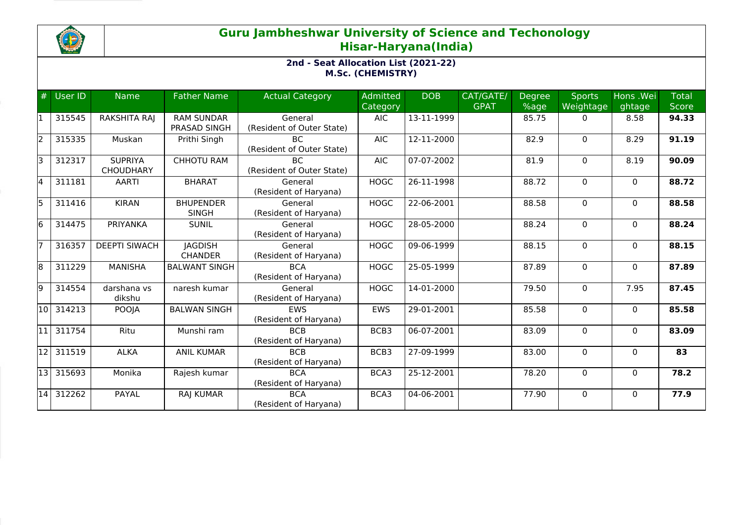

## **Guru Jambheshwar University of Science and Techonology Hisar-Haryana(India)**

## **2nd - Seat Allocation List (2021-22) M.Sc. (CHEMISTRY)**

| #     | User ID   | <b>Name</b>                        | <b>Father Name</b>                | <b>Actual Category</b>                 | Admitted<br>Category | <b>DOB</b> | CAT/GATE/<br><b>GPAT</b> | <b>Degree</b><br>%age | <b>Sports</b><br>Weightage | Hons .Wei<br>ghtage | <b>Total</b><br>Score |
|-------|-----------|------------------------------------|-----------------------------------|----------------------------------------|----------------------|------------|--------------------------|-----------------------|----------------------------|---------------------|-----------------------|
| 11    | 315545    | RAKSHITA RAJ                       | <b>RAM SUNDAR</b><br>PRASAD SINGH | General<br>(Resident of Outer State)   | <b>AIC</b>           | 13-11-1999 |                          | 85.75                 | $\Omega$                   | 8.58                | 94.33                 |
| 2     | 315335    | Muskan                             | Prithi Singh                      | <b>BC</b><br>(Resident of Outer State) | <b>AIC</b>           | 12-11-2000 |                          | 82.9                  | $\mathbf{0}$               | 8.29                | 91.19                 |
| lз    | 312317    | <b>SUPRIYA</b><br><b>CHOUDHARY</b> | <b>CHHOTU RAM</b>                 | <b>BC</b><br>(Resident of Outer State) | <b>AIC</b>           | 07-07-2002 |                          | 81.9                  | $\Omega$                   | 8.19                | 90.09                 |
| l4    | 311181    | <b>AARTI</b>                       | <b>BHARAT</b>                     | General<br>(Resident of Haryana)       | <b>HOGC</b>          | 26-11-1998 |                          | 88.72                 | 0                          | $\Omega$            | 88.72                 |
| 5     | 311416    | <b>KIRAN</b>                       | <b>BHUPENDER</b><br><b>SINGH</b>  | General<br>(Resident of Haryana)       | <b>HOGC</b>          | 22-06-2001 |                          | 88.58                 | $\mathbf{0}$               | $\Omega$            | 88.58                 |
| l6    | 314475    | PRIYANKA                           | <b>SUNIL</b>                      | General<br>(Resident of Haryana)       | <b>HOGC</b>          | 28-05-2000 |                          | 88.24                 | 0                          | $\mathbf{0}$        | 88.24                 |
| 17    | 316357    | <b>DEEPTI SIWACH</b>               | <b>JAGDISH</b><br><b>CHANDER</b>  | General<br>(Resident of Haryana)       | <b>HOGC</b>          | 09-06-1999 |                          | 88.15                 | 0                          | $\Omega$            | 88.15                 |
| 8     | 311229    | <b>MANISHA</b>                     | <b>BALWANT SINGH</b>              | <b>BCA</b><br>(Resident of Haryana)    | <b>HOGC</b>          | 25-05-1999 |                          | 87.89                 | 0                          | $\Omega$            | 87.89                 |
| 9     | 314554    | darshana vs<br>dikshu              | naresh kumar                      | General<br>(Resident of Haryana)       | <b>HOGC</b>          | 14-01-2000 |                          | 79.50                 | $\mathbf 0$                | 7.95                | 87.45                 |
| 10    | 314213    | POOJA                              | <b>BALWAN SINGH</b>               | <b>FWS</b><br>(Resident of Haryana)    | <b>EWS</b>           | 29-01-2001 |                          | 85.58                 | $\mathbf{0}$               | $\Omega$            | 85.58                 |
| l11 l | 311754    | Ritu                               | Munshi ram                        | <b>BCB</b><br>(Resident of Haryana)    | BCB3                 | 06-07-2001 |                          | 83.09                 | $\mathbf 0$                | $\mathbf{0}$        | 83.09                 |
| l12 l | 311519    | <b>ALKA</b>                        | <b>ANIL KUMAR</b>                 | <b>BCB</b><br>(Resident of Haryana)    | BCB3                 | 27-09-1999 |                          | 83.00                 | 0                          | $\Omega$            | 83                    |
|       | 13 315693 | Monika                             | Rajesh kumar                      | <b>BCA</b><br>(Resident of Haryana)    | BCA3                 | 25-12-2001 |                          | 78.20                 | $\mathbf 0$                | $\mathbf{0}$        | 78.2                  |
| 14    | 312262    | PAYAL                              | RAJ KUMAR                         | <b>BCA</b><br>(Resident of Haryana)    | BCA3                 | 04-06-2001 |                          | 77.90                 | $\Omega$                   | $\mathbf{0}$        | 77.9                  |